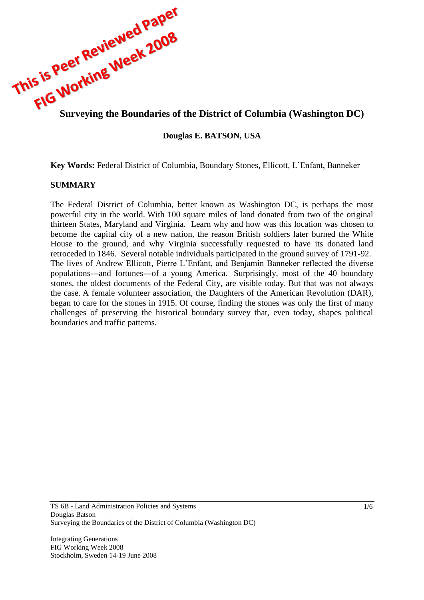

### **Douglas E. BATSON, USA**

**Key Words:** Federal District of Columbia, Boundary Stones, Ellicott, L'Enfant, Banneker

#### **SUMMARY**

The Federal District of Columbia, better known as Washington DC, is perhaps the most powerful city in the world. With 100 square miles of land donated from two of the original thirteen States, Maryland and Virginia. Learn why and how was this location was chosen to become the capital city of a new nation, the reason British soldiers later burned the White House to the ground, and why Virginia successfully requested to have its donated land retroceded in 1846. Several notable individuals participated in the ground survey of 1791-92. The lives of Andrew Ellicott, Pierre L'Enfant, and Benjamin Banneker reflected the diverse populations---and fortunes---of a young America. Surprisingly, most of the 40 boundary stones, the oldest documents of the Federal City, are visible today. But that was not always the case. A female volunteer association, the Daughters of the American Revolution (DAR), began to care for the stones in 1915. Of course, finding the stones was only the first of many challenges of preserving the historical boundary survey that, even today, shapes political boundaries and traffic patterns.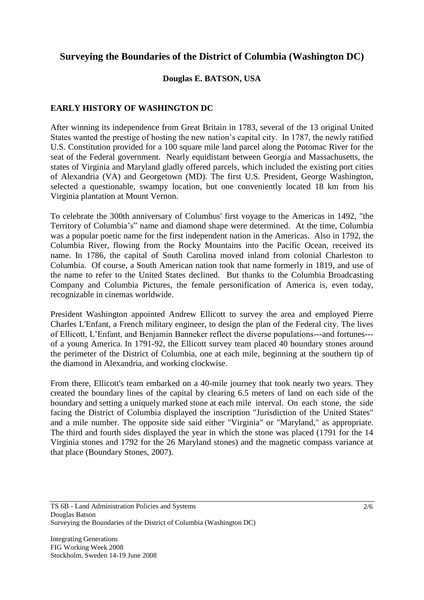# **Surveying the Boundaries of the District of Columbia (Washington DC)**

## **Douglas E. BATSON, USA**

## **EARLY HISTORY OF WASHINGTON DC**

After winning its independence from Great Britain in 1783, several of the 13 original United States wanted the prestige of hosting the new nation's capital city. In 1787, the newly ratified U.S. Constitution provided for a 100 square mile land parcel along the Potomac River for the seat of the Federal government. Nearly equidistant between Georgia and Massachusetts, the states of Virginia and Maryland gladly offered parcels, which included the existing port cities of Alexandria (VA) and Georgetown (MD). The first U.S. President, George Washington, selected a questionable, swampy location, but one conveniently located 18 km from his Virginia plantation at Mount Vernon.

To celebrate the 300th [anniversary](http://en.wikipedia.org/wiki/Anniversary) of Columbus' first voyage to the [Americas](http://en.wikipedia.org/wiki/Americas) in [1492,](http://en.wikipedia.org/wiki/1492) "the [Territory](http://en.wikipedia.org/wiki/Territory_%28country_subdivision%29) of Columbia's" name and diamond shape were determined. At the time, Columbia was a popular poetic name for the first independent nation in the Americas. Also in 1792, the [Columbia River,](http://en.wikipedia.org/wiki/Columbia_River) flowing from the Rocky Mountains into the Pacific Ocean, received its name. In [1786,](http://en.wikipedia.org/wiki/1786) the capital of [South Carolina](http://en.wikipedia.org/wiki/South_Carolina) moved inland from colonial Charleston to Columbia. Of course, a South American nation took that name formerly in 1819, and use of the name to refer to the United States declined. But thanks to the Columbia Broadcasting Company and Columbia Pictures, the female personification of America is, even today, recognizable in cinemas worldwide.

President Washington appointed Andrew Ellicott to survey the area and employed Pierre Charles L'Enfant, a French military engineer, to design the plan of the Federal city. The lives of Ellicott, L'Enfant, and Benjamin Banneker reflect the diverse populations---and fortunes-- of a young America. In 1791-92, the Ellicott survey team placed 40 boundary stones around the perimeter of the District of Columbia, one at each mile, beginning at the southern tip of the diamond in Alexandria, and working clockwise.

From there, Ellicott's team embarked on a 40-mile journey that took nearly two years. They created the boundary lines of the capital by clearing 6.5 meters of land on each side of the boundary and setting a uniquely marked stone at each mile interval. On each stone, the side facing the District of Columbia displayed the inscription "Jurisdiction of the United States" and a mile number. The opposite side said either "Virginia" or "Maryland," as appropriate. The third and fourth sides displayed the year in which the stone was placed (1791 for the 14 Virginia stones and 1792 for the 26 Maryland stones) and the magnetic compass variance at that place (Boundary Stones, 2007).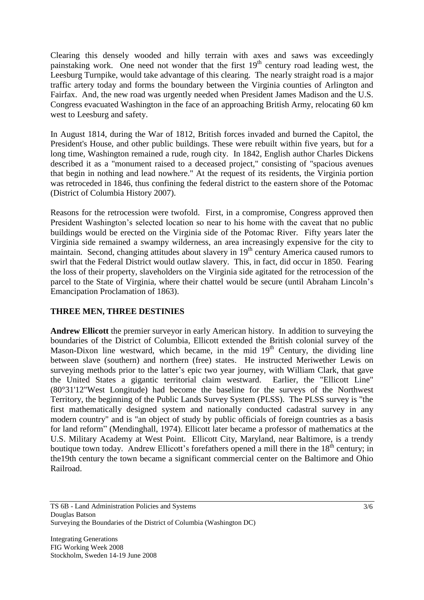Clearing this densely wooded and hilly terrain with axes and saws was exceedingly painstaking work. One need not wonder that the first 19<sup>th</sup> century road leading west, the Leesburg Turnpike, would take advantage of this clearing. The nearly straight road is a major traffic artery today and forms the boundary between the Virginia counties of Arlington and Fairfax. And, the new road was urgently needed when President James Madison and the U.S. Congress evacuated Washington in the face of an approaching British Army, relocating 60 km west to Leesburg and safety.

In August 1814, during the War of 1812, British forces invaded and burned the Capitol, the President's House, and other public buildings. These were rebuilt within five years, but for a long time, Washington remained a rude, rough city. In 1842, English author Charles Dickens described it as a "monument raised to a deceased project," consisting of "spacious avenues that begin in nothing and lead nowhere." At the request of its residents, the Virginia portion was retroceded in 1846, thus confining the federal district to the eastern shore of the Potomac [\(District](http://www.city-data.com/states/District-of-) of Columbia History 2007).

Reasons for the retrocession were twofold. First, in a compromise, Congress approved then President Washington's selected location so near to his home with the caveat that no public buildings would be erected on the Virginia side of the Potomac River. Fifty years later the Virginia side remained a swampy wilderness, an area increasingly expensive for the city to maintain. Second, changing attitudes about slavery in  $19<sup>th</sup>$  century America caused rumors to swirl that the Federal District would outlaw slavery. This, in fact, did occur in 1850. Fearing the loss of their property, slaveholders on the Virginia side agitated for the retrocession of the parcel to the State of Virginia, where their chattel would be secure (until Abraham Lincoln's Emancipation Proclamation of 1863).

### **THREE MEN, THREE DESTINIES**

**Andrew Ellicott** the premier [surveyor](http://en.wikipedia.org/wiki/Surveyor_%28surveying%29) in early American history. In addition to surveying the boundaries of the [District of Columbia,](http://en.wikipedia.org/wiki/Washington%2C_D.C.) Ellicott extended the British colonial survey of the [Mason-Dixon line](http://en.wikipedia.org/wiki/Mason-Dixon_line) westward, which became, in the mid  $19<sup>th</sup>$  Century, the dividing line between slave (southern) and northern (free) states. He instructed [Meriwether Lewis](http://en.wikipedia.org/wiki/Meriwether_Lewis) on surveying methods prior to the latter's epic two year journey, with William Clark, that gave the United States a gigantic territorial claim westward. Earlier, the "Ellicott Line" (80°31'12"West Longitude) had become the baseline for the surveys of the [Northwest](http://en.wikipedia.org/wiki/Northwest_Territory)  [Territory,](http://en.wikipedia.org/wiki/Northwest_Territory) the beginning of the Public Lands Survey System (PLSS). The PLSS survey is "the first mathematically designed system and nationally conducted [cadastral](http://en.wikipedia.org/wiki/Cadastre) survey in any modern country" and is "an object of study by public officials of foreign countries as a basis for land reform" (Mendinghall, 1974). Ellicott later became a professor of mathematics at the U.S. Military Academy at [West Point.](http://en.wikipedia.org/wiki/United_States_Military_Academy) Ellicott City, Maryland, near Baltimore, is a trendy boutique town today. Andrew Ellicott's forefathers opened a mill there in the 18<sup>th</sup> century; in the19th century the town became a significant commercial center on the Baltimore and Ohio Railroad.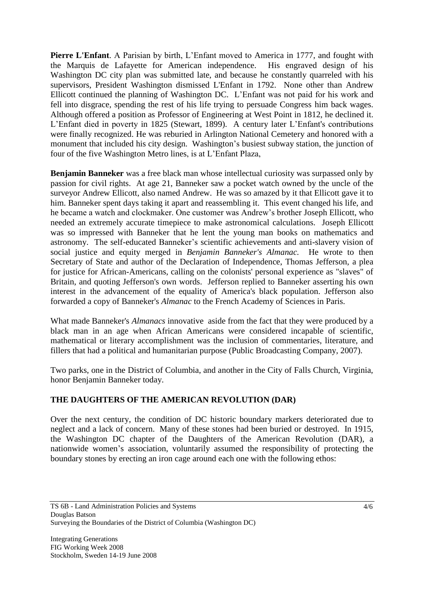**Pierre L'Enfant**. A Parisian by birth, L'Enfant moved to America in [1777, and fought with](http://en.wikipedia.org/wiki/Thirteen_Colonies)  [the Marquis de Lafayette for American independence. H](http://en.wikipedia.org/wiki/Thirteen_Colonies)is engraved design of his Washington DC city plan was submitted late, and because he constantly quarreled with his supervisors, President [Washington](http://en.wikipedia.org/wiki/George_Washington) dismissed L'Enfant in [1792.](http://en.wikipedia.org/wiki/1792) None other than Andrew Ellicott continued the planning of Washington DC. L'Enfant was not paid for his work and fell into disgrace, spending the rest of his life trying to persuade Congress him back wages. Although offered a position as [Professor](http://en.wikipedia.org/wiki/Professor) of Engineering at [West Point](http://en.wikipedia.org/wiki/United_States_Military_Academy) in 1812, he declined it. L'Enfant died in poverty in 1825 (Stewart, 1899). A century later L'Enfant's contributions were finally recognized. He was reburied in [Arlington National Cemetery](http://en.wikipedia.org/wiki/Arlington_National_Cemetery) and honored with a monument that included his city design. Washington's busiest subway station, the junction of four of the five Washington Metro lines, is at L'Enfant Plaza,

**Benjamin Banneker** was a free black man whose intellectual curiosity was surpassed only by passion for civil rights. At age 21, Banneker saw a pocket watch owned by the uncle of the surveyor [Andrew Ellicott,](http://en.wikipedia.org/wiki/Andrew_Ellicott) also named Andrew. He was so amazed by it that Ellicott gave it to him. Banneker spent days taking it apart and reassembling it. This event changed his life, and he became a watch and clockmaker. One customer was Andrew's brother [Joseph Ellicott,](http://en.wikipedia.org/wiki/Joseph_Ellicott) who needed an extremely accurate timepiece to make astronomical calculations. Joseph Ellicott was so impressed with Banneker that he lent the young man books on [mathematics](http://en.wikipedia.org/wiki/Mathematics) and [astronomy.](http://en.wikipedia.org/wiki/Astronomy) The self-educated Banneker's scientific achievements and anti-slavery vision of social justice and equity merged in *Benjamin Banneker's Almanac.* He wrote to then [Secretary of State](http://en.wikipedia.org/wiki/Secretary_of_State) and [author](http://en.wikipedia.org/wiki/Author) of the [Declaration of Independence,](http://en.wikipedia.org/wiki/United_States_Declaration_of_Independence) [Thomas Jefferson,](http://en.wikipedia.org/wiki/Thomas_Jefferson) a plea for justice for African-Americans, calling on the colonists' personal experience as "slaves" of [Britain,](http://en.wikipedia.org/wiki/Kingdom_of_Great_Britain) and quoting Jefferson's own words. Jefferson replied to Banneker asserting his own interest in the advancement of the equality of America's black population. Jefferson also forwarded a copy of Banneker's *Almanac* to the French Academy of Sciences in Paris.

What made Banneker's *Almanacs* innovative aside from the fact that they were produced by a black man in an age when African Americans were considered incapable of scientific, mathematical or literary accomplishment was the inclusion of commentaries, literature, and fillers that had a political and humanitarian purpose (Public Broadcasting Company, 2007).

Two parks, one in the District of Columbia, and another in the City of Falls Church, Virginia, honor Benjamin Banneker today.

# **THE DAUGHTERS OF THE AMERICAN REVOLUTION (DAR)**

Over the next century, the condition of DC historic boundary markers deteriorated due to neglect and a lack of concern. Many of these stones had been buried or destroyed. In 1915, the Washington DC chapter of the Daughters of the American Revolution (DAR), a nationwide women's association, voluntarily assumed the responsibility of protecting the boundary stones by erecting an iron cage around each one with the following ethos: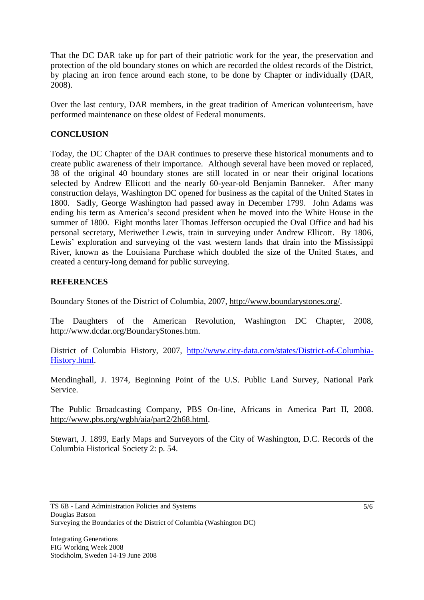That the DC DAR take up for part of their patriotic work for the year, the preservation and protection of the old boundary stones on which are recorded the oldest records of the District, by placing an iron fence around each stone, to be done by Chapter or individually (DAR, 2008).

Over the last century, DAR members, in the great tradition of American volunteerism, have performed maintenance on these oldest of Federal monuments.

# **CONCLUSION**

Today, the DC Chapter of the DAR continues to preserve these historical monuments and to create public awareness of their importance. Although several have been moved or replaced, 38 of the original 40 boundary stones are still located in or near their original locations selected by Andrew Ellicott and the nearly 60-year-old Benjamin Banneker. After many construction delays, Washington DC opened for business as the capital of the United States in 1800. Sadly, George Washington had passed away in December 1799. John Adams was ending his term as America's second president when he moved into the White House in the summer of 1800. Eight months later Thomas Jefferson occupied the Oval Office and had his personal secretary, Meriwether Lewis, train in surveying under Andrew Ellicott. By 1806, Lewis' exploration and surveying of the vast western lands that drain into the Mississippi River, known as the Louisiana Purchase which doubled the size of the United States, and created a century-long demand for public surveying.

### **REFERENCES**

Boundary Stones of the District of Columbia, 2007, [http://www.boundarystones.org/.](http://www.boundarystones.org/)

The Daughters of the American Revolution, Washington DC Chapter, 2008, http://www.dcdar.org/BoundaryStones.htm.

District of Columbia History, 2007, [http://www.city-data.com/states/District-of-Columbia-](http://www.city-data.com/states/District-of-Columbia-History.html)[History.html.](http://www.city-data.com/states/District-of-Columbia-History.html)

Mendinghall, J. 1974, [Beginning Point of the U.S. Public Land Survey,](http://pdfhost.focus.nps.gov/docs/NHLS/Text/66000606.pdf) National Park Service.

The Public Broadcasting Company, PBS On-line, Africans in America Part II, 2008. [http://www.pbs.org/wgbh/aia/part2/2h68.html.](http://www.pbs.org/wgbh/aia/part2/2h68.html)

Stewart, J. 1899, Early Maps and Surveyors of the City of Washington, D.C. Records of the Columbia Historical Society 2: p. 54.